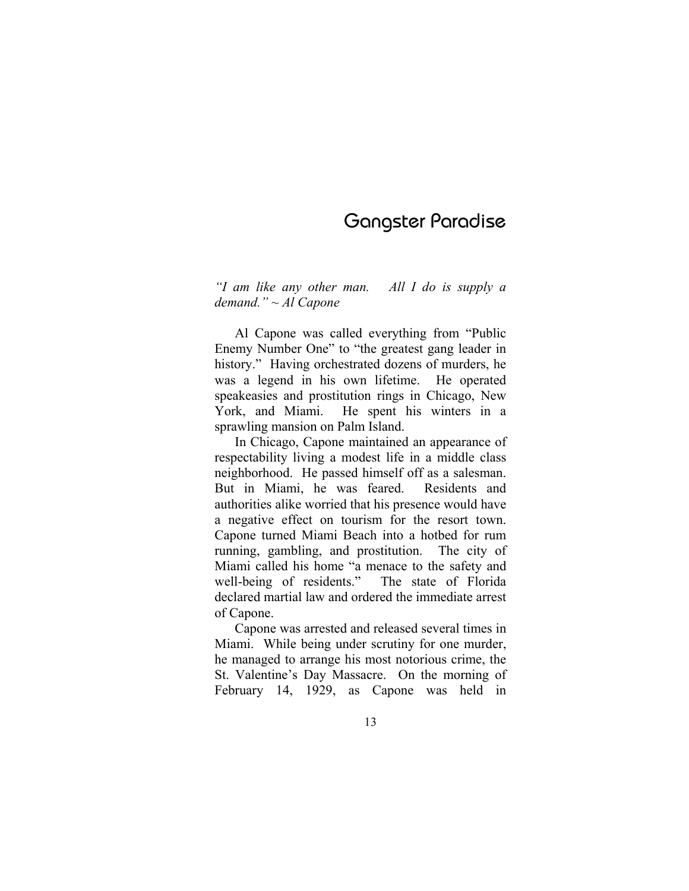# Gangster Paradise

*"I am like any other man. All I do is supply a demand." ~ Al Capone* 

Al Capone was called everything from "Public Enemy Number One" to "the greatest gang leader in history." Having orchestrated dozens of murders, he was a legend in his own lifetime. He operated speakeasies and prostitution rings in Chicago, New York, and Miami. He spent his winters in a sprawling mansion on Palm Island.

In Chicago, Capone maintained an appearance of respectability living a modest life in a middle class neighborhood. He passed himself off as a salesman. But in Miami, he was feared. Residents and authorities alike worried that his presence would have a negative effect on tourism for the resort town. Capone turned Miami Beach into a hotbed for rum running, gambling, and prostitution. The city of Miami called his home "a menace to the safety and well-being of residents." The state of Florida declared martial law and ordered the immediate arrest of Capone.

Capone was arrested and released several times in Miami. While being under scrutiny for one murder, he managed to arrange his most notorious crime, the St. Valentine's Day Massacre. On the morning of February 14, 1929, as Capone was held in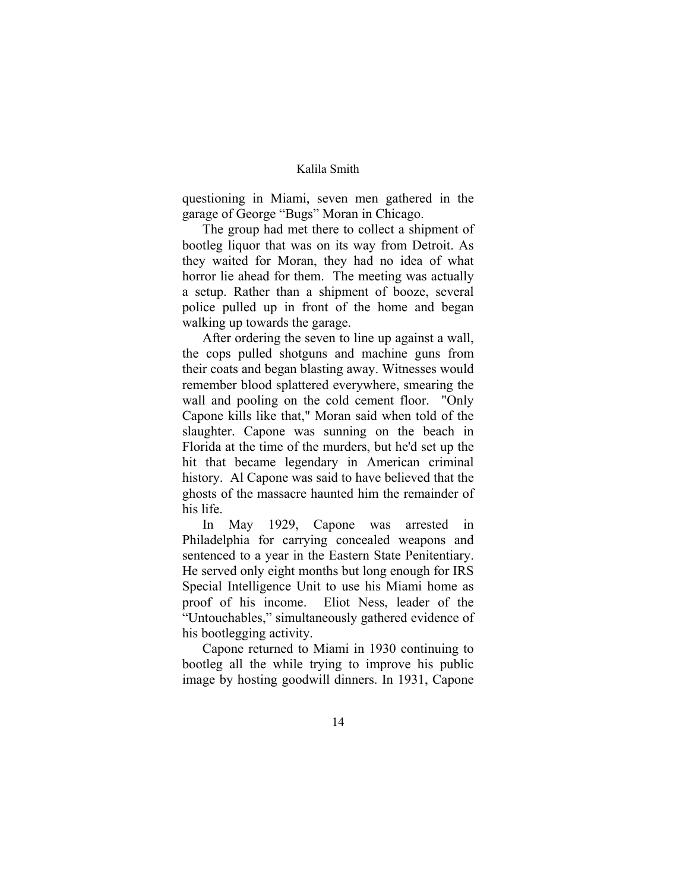## Kalila Smith

questioning in Miami, seven men gathered in the garage of George "Bugs" Moran in Chicago.

The group had met there to collect a shipment of bootleg liquor that was on its way from Detroit. As they waited for Moran, they had no idea of what horror lie ahead for them. The meeting was actually a setup. Rather than a shipment of booze, several police pulled up in front of the home and began walking up towards the garage.

After ordering the seven to line up against a wall, the cops pulled shotguns and machine guns from their coats and began blasting away. Witnesses would remember blood splattered everywhere, smearing the wall and pooling on the cold cement floor. "Only Capone kills like that," Moran said when told of the slaughter. Capone was sunning on the beach in Florida at the time of the murders, but he'd set up the hit that became legendary in American criminal history. Al Capone was said to have believed that the ghosts of the massacre haunted him the remainder of his life.

In May 1929, Capone was arrested in Philadelphia for carrying concealed weapons and sentenced to a year in the Eastern State Penitentiary. He served only eight months but long enough for IRS Special Intelligence Unit to use his Miami home as proof of his income. Eliot Ness, leader of the "Untouchables," simultaneously gathered evidence of his bootlegging activity.

Capone returned to Miami in 1930 continuing to bootleg all the while trying to improve his public image by hosting goodwill dinners. In 1931, Capone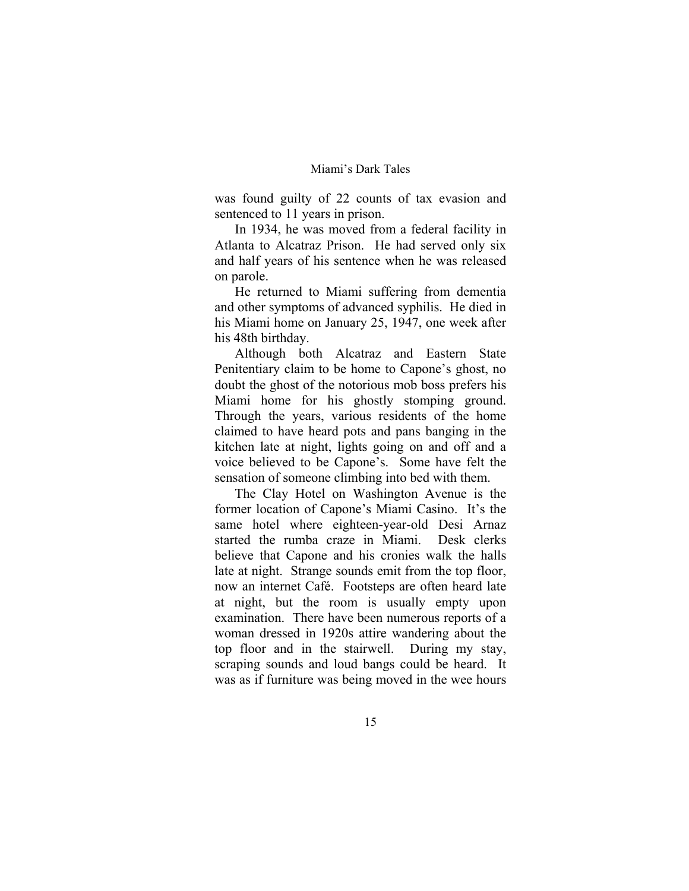### Miami's Dark Tales

was found guilty of 22 counts of tax evasion and sentenced to 11 years in prison.

In 1934, he was moved from a federal facility in Atlanta to Alcatraz Prison. He had served only six and half years of his sentence when he was released on parole.

He returned to Miami suffering from dementia and other symptoms of advanced syphilis. He died in his Miami home on January 25, 1947, one week after his 48th birthday.

Although both Alcatraz and Eastern State Penitentiary claim to be home to Capone's ghost, no doubt the ghost of the notorious mob boss prefers his Miami home for his ghostly stomping ground. Through the years, various residents of the home claimed to have heard pots and pans banging in the kitchen late at night, lights going on and off and a voice believed to be Capone's. Some have felt the sensation of someone climbing into bed with them.

The Clay Hotel on Washington Avenue is the former location of Capone's Miami Casino. It's the same hotel where eighteen-year-old Desi Arnaz started the rumba craze in Miami. Desk clerks believe that Capone and his cronies walk the halls late at night. Strange sounds emit from the top floor, now an internet Café. Footsteps are often heard late at night, but the room is usually empty upon examination. There have been numerous reports of a woman dressed in 1920s attire wandering about the top floor and in the stairwell. During my stay, scraping sounds and loud bangs could be heard. It was as if furniture was being moved in the wee hours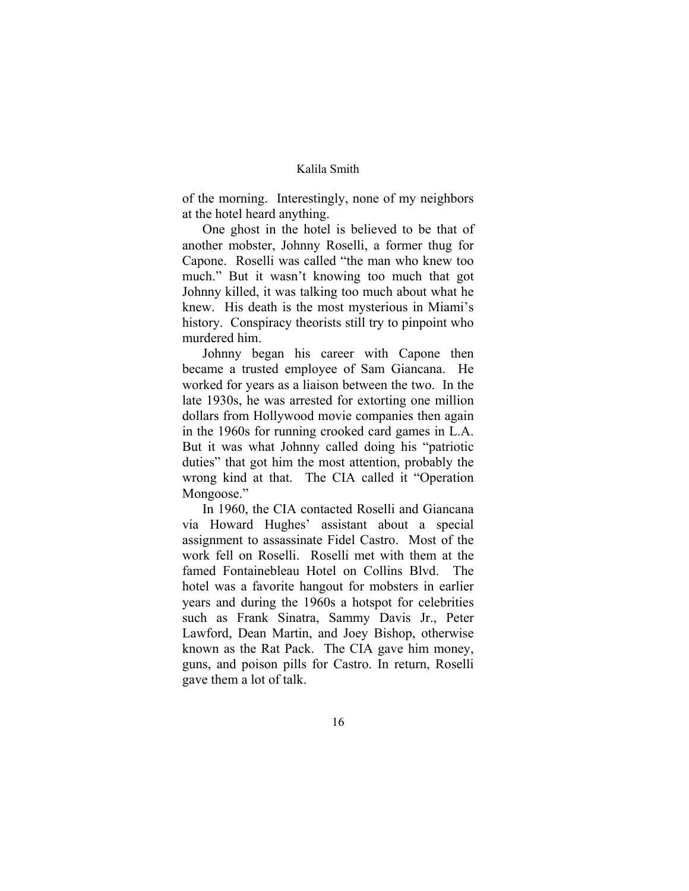## Kalila Smith

of the morning. Interestingly, none of my neighbors at the hotel heard anything.

One ghost in the hotel is believed to be that of another mobster, Johnny Roselli, a former thug for Capone. Roselli was called "the man who knew too much." But it wasn't knowing too much that got Johnny killed, it was talking too much about what he knew. His death is the most mysterious in Miami's history. Conspiracy theorists still try to pinpoint who murdered him.

Johnny began his career with Capone then became a trusted employee of Sam Giancana. He worked for years as a liaison between the two. In the late 1930s, he was arrested for extorting one million dollars from Hollywood movie companies then again in the 1960s for running crooked card games in L.A. But it was what Johnny called doing his "patriotic duties" that got him the most attention, probably the wrong kind at that. The CIA called it "Operation Mongoose."

In 1960, the CIA contacted Roselli and Giancana via Howard Hughes' assistant about a special assignment to assassinate Fidel Castro. Most of the work fell on Roselli. Roselli met with them at the famed Fontainebleau Hotel on Collins Blvd. The hotel was a favorite hangout for mobsters in earlier years and during the 1960s a hotspot for celebrities such as Frank Sinatra, Sammy Davis Jr., Peter Lawford, Dean Martin, and Joey Bishop, otherwise known as the Rat Pack. The CIA gave him money, guns, and poison pills for Castro. In return, Roselli gave them a lot of talk.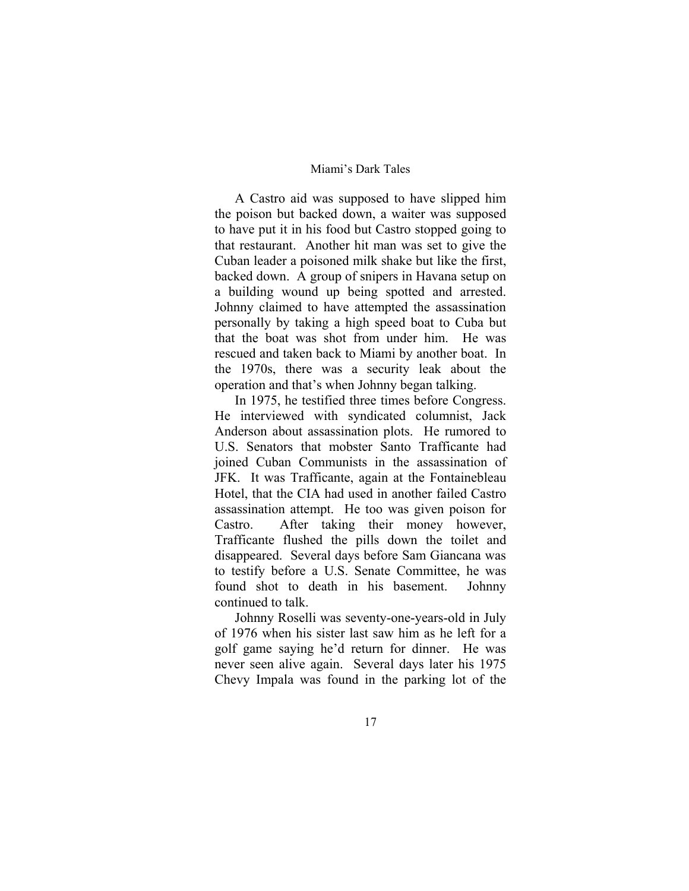### Miami's Dark Tales

A Castro aid was supposed to have slipped him the poison but backed down, a waiter was supposed to have put it in his food but Castro stopped going to that restaurant. Another hit man was set to give the Cuban leader a poisoned milk shake but like the first, backed down. A group of snipers in Havana setup on a building wound up being spotted and arrested. Johnny claimed to have attempted the assassination personally by taking a high speed boat to Cuba but that the boat was shot from under him. He was rescued and taken back to Miami by another boat. In the 1970s, there was a security leak about the operation and that's when Johnny began talking.

In 1975, he testified three times before Congress. He interviewed with syndicated columnist, Jack Anderson about assassination plots. He rumored to U.S. Senators that mobster Santo Trafficante had joined Cuban Communists in the assassination of JFK. It was Trafficante, again at the Fontainebleau Hotel, that the CIA had used in another failed Castro assassination attempt. He too was given poison for Castro. After taking their money however, Trafficante flushed the pills down the toilet and disappeared. Several days before Sam Giancana was to testify before a U.S. Senate Committee, he was found shot to death in his basement. Johnny continued to talk.

Johnny Roselli was seventy-one-years-old in July of 1976 when his sister last saw him as he left for a golf game saying he'd return for dinner. He was never seen alive again. Several days later his 1975 Chevy Impala was found in the parking lot of the